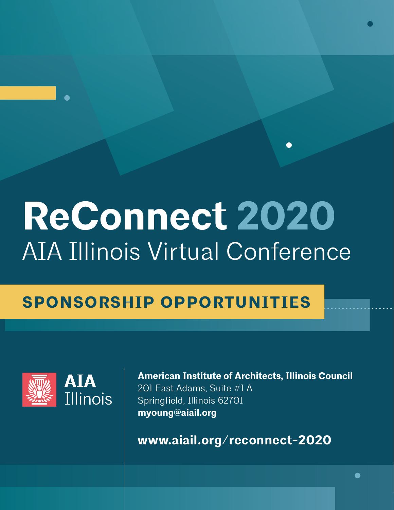# **ReConnect 2020** AIA Illinois Virtual Conference

## **SPONSORSHIP OPPORTUNITIES**



**American Institute of Architects, Illinois Council**  201 East Adams, Suite #1 A Springfield, Illinois 62701 **myoung@aiail.org**

**www.aiail.org/reconnect-2020**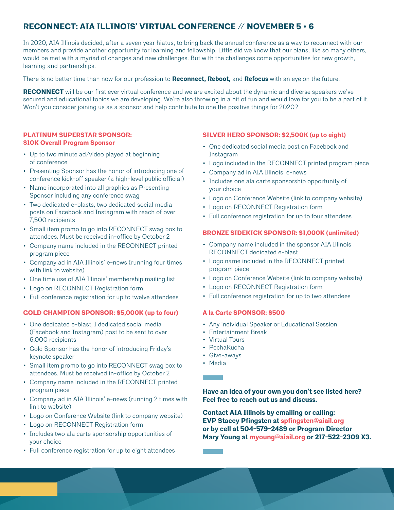#### **RECONNECT: AIA ILLINOIS' VIRTUAL CONFERENCE // NOVEMBER 5 • 6**

In 2020, AIA Illinois decided, after a seven year hiatus, to bring back the annual conference as a way to reconnect with our members and provide another opportunity for learning and fellowship. Little did we know that our plans, like so many others, would be met with a myriad of changes and new challenges. But with the challenges come opportunities for new growth, learning and partnerships.

There is no better time than now for our profession to **Reconnect, Reboot,** and **Refocus** with an eye on the future.

**RECONNECT** will be our first ever virtual conference and we are excited about the dynamic and diverse speakers we've secured and educational topics we are developing. We're also throwing in a bit of fun and would love for you to be a part of it. Won't you consider joining us as a sponsor and help contribute to one the positive things for 2020?

#### **PLATINUM SUPERSTAR SPONSOR: \$10K Overall Program Sponsor**

- Up to two minute ad/video played at beginning of conference
- Presenting Sponsor has the honor of introducing one of conference kick-off speaker (a high-level public official)
- Name incorporated into all graphics as Presenting Sponsor including any conference swag
- Two dedicated e-blasts, two dedicated social media posts on Facebook and Instagram with reach of over 7,500 recipients
- Small item promo to go into RECONNECT swag box to attendees. Must be received in-office by October 2
- Company name included in the RECONNECT printed program piece
- Company ad in AIA Illinois' e-news (running four times with link to website)
- One time use of AIA Illinois' membership mailing list
- Logo on RECONNECT Registration form
- Full conference registration for up to twelve attendees

#### **GOLD CHAMPION SPONSOR: \$5,000K (up to four)**

- One dedicated e-blast, 1 dedicated social media (Facebook and Instagram) post to be sent to over 6,000 recipients
- Gold Sponsor has the honor of introducing Friday's keynote speaker
- Small item promo to go into RECONNECT swag box to attendees. Must be received in-office by October 2
- Company name included in the RECONNECT printed program piece
- Company ad in AIA Illinois' e-news (running 2 times with link to website)
- Logo on Conference Website (link to company website)
- Logo on RECONNECT Registration form
- Includes two ala carte sponsorship opportunities of your choice
- Full conference registration for up to eight attendees

#### **SILVER HERO SPONSOR: \$2,500K (up to eight)**

- One dedicated social media post on Facebook and Instagram
- Logo included in the RECONNECT printed program piece
- Company ad in AIA Illinois' e-news
- Includes one ala carte sponsorship opportunity of your choice
- Logo on Conference Website (link to company website)
- Logo on RECONNECT Registration form
- Full conference registration for up to four attendees

#### **BRONZE SIDEKICK SPONSOR: \$1,000K (unlimited)**

- Company name included in the sponsor AIA Illinois RECONNECT dedicated e-blast
- Logo name included in the RECONNECT printed program piece
- Logo on Conference Website (link to company website)
- Logo on RECONNECT Registration form
- Full conference registration for up to two attendees

#### **A la Carte SPONSOR: \$500**

- Any individual Speaker or Educational Session
- Entertainment Break
- Virtual Tours
- PechaKucha
- Give-aways
- Media

**Have an idea of your own you don't see listed here? Feel free to reach out us and discuss.** 

**Contact AIA Illinois by emailing or calling: EVP Stacey Pfingsten at spfingsten@aiail.org or by cell at 504-579-2489 or Program Director Mary Young at myoung@aiail.org or 217-522-2309 X3.**